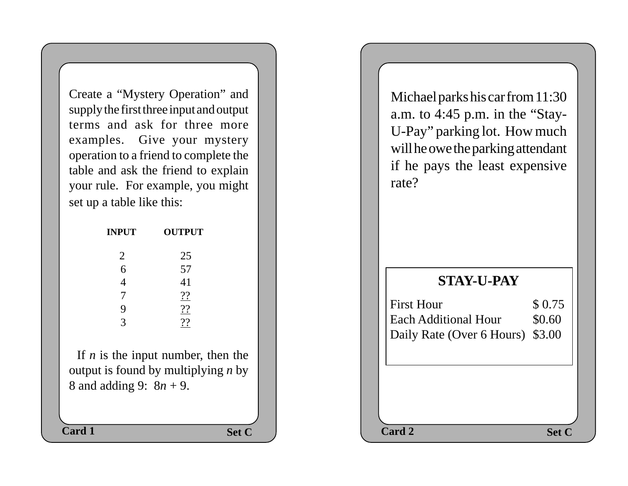Create a "Mystery Operation" and supply the first three input and output terms and ask for three more examples. Give your mystery operation to a friend to complete the table and ask the friend to explain your rule. For example, you might set up a table like this:

| <b>INPUT</b>   | <b>OUTPUT</b> |
|----------------|---------------|
| $\overline{2}$ | 25            |
| 6              | 57            |
| 4              | 41            |
| 7              | ??            |
| 9              | 22            |
| 3              | 22            |
|                |               |

 If *n* is the input number, then the output is found by multiplying *n* by 8 and adding 9: 8*n* + 9.

Michael parks his car from 11:30 a.m. to 4:45 p.m. in the "Stay-U-Pay" parking lot. How much will he owe the parking attendant if he pays the least expensive rate?

## **STAY-U-PAY**

| <b>First Hour</b>                | \$0.75 |
|----------------------------------|--------|
| Each Additional Hour             | \$0.60 |
| Daily Rate (Over 6 Hours) \$3.00 |        |
|                                  |        |

Set C  $\qquad$  **Set C**  $\qquad$  **Card 2 Card 1 Card 2 Card 2 Card 2 Card 2**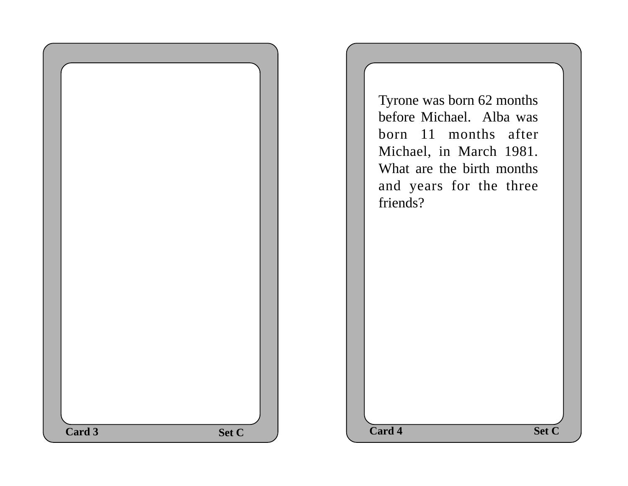

Tyrone was born 62 months before Michael. Alba was born 11 months after Michael, in March 1981. What are the birth months and years for the three friends?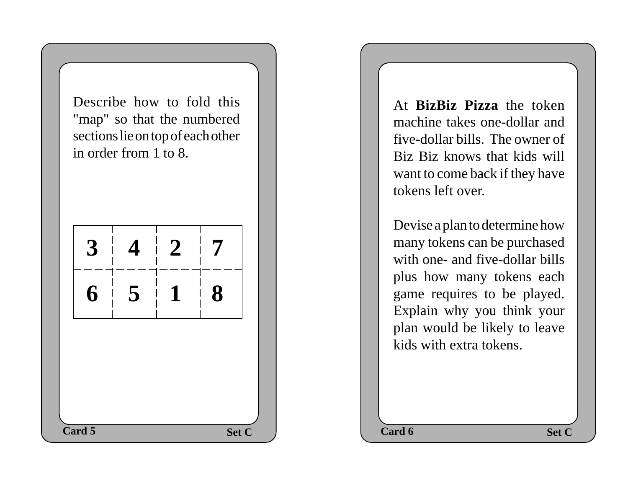Describe how to fold this "map" so that the numbered sections lie on top of each other in order from 1 to 8.



At **BizBiz Pizza** the token machine takes one-dollar and five-dollar bills. The owner of Biz Biz knows that kids will want to come back if they have tokens left over.

Devise a plan to determine how many tokens can be purchased with one- and five-dollar bills plus how many tokens each game requires to be played. Explain why you think your plan would be likely to leave kids with extra tokens.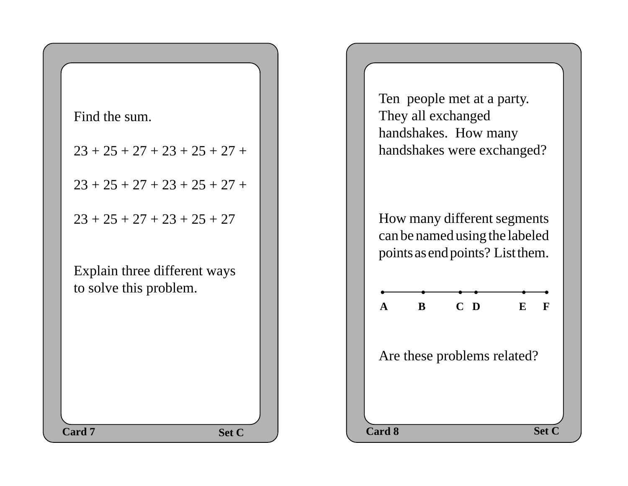

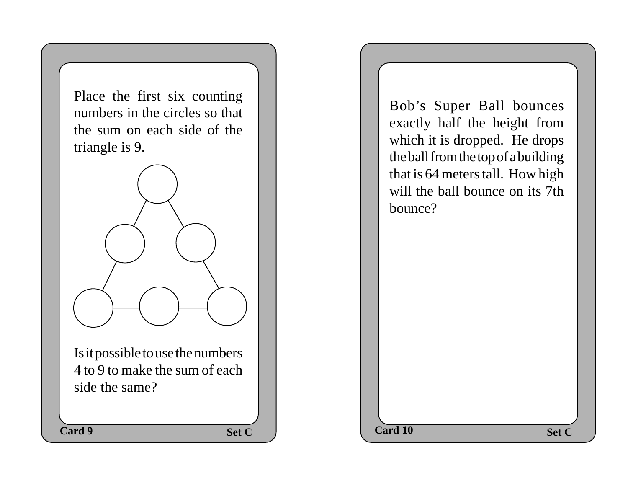Place the first six counting numbers in the circles so that the sum on each side of the triangle is 9.



Is it possible to use the numbers 4 to 9 to make the sum of each side the same?

Bob's Super Ball bounces exactly half the height from which it is dropped. He drops the ball from the top of a building that is 64 meters tall. How high will the ball bounce on its 7th bounce?

**Set C**  $\qquad$  **Card 10 Set C Card 9 Card 10 Card 10 Card 10**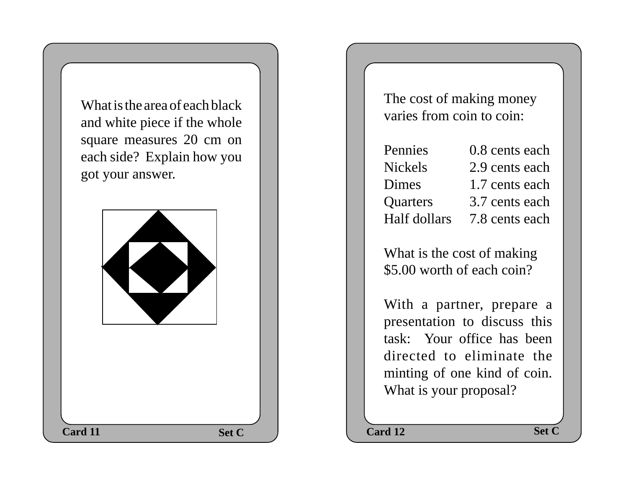What is the area of each black and white piece if the whole square measures 20 cm on each side? Explain how you got your answer.



The cost of making money varies from coin to coin:

Pennies 0.8 cents each Nickels 2.9 cents each Dimes 1.7 cents each Quarters 3.7 cents each Half dollars 7.8 cents each

What is the cost of making \$5.00 worth of each coin?

With a partner, prepare a presentation to discuss this task: Your office has been directed to eliminate the minting of one kind of coin. What is your proposal?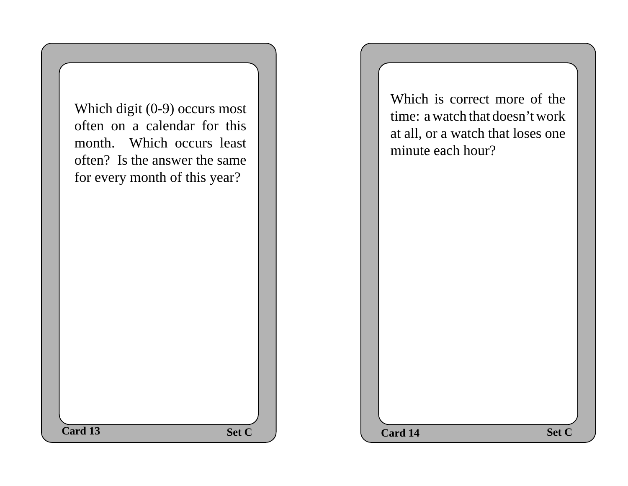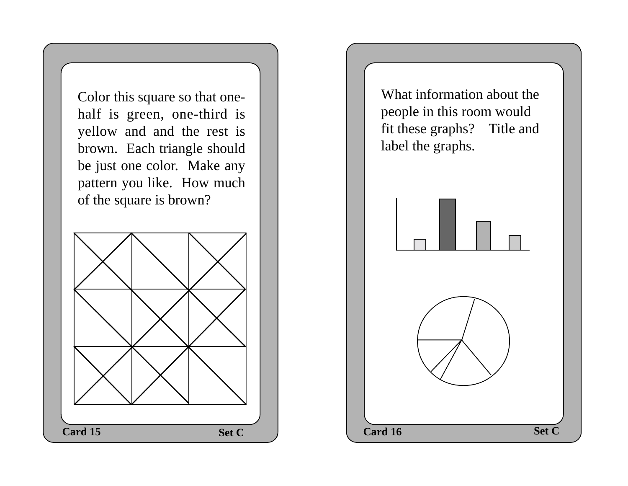Color this square so that onehalf is green, one-third is yellow and and the rest is brown. Each triangle should be just one color. Make any pattern you like. How much of the square is brown?



What information about the people in this room would fit these graphs? Title and label the graphs.

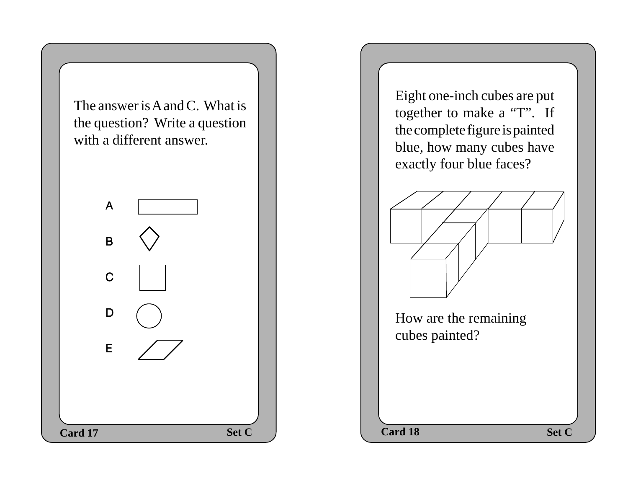



Eight one-inch cubes are put together to make a "T". If the complete figure is painted blue, how many cubes have exactly four blue faces?



How are the remaining cubes painted?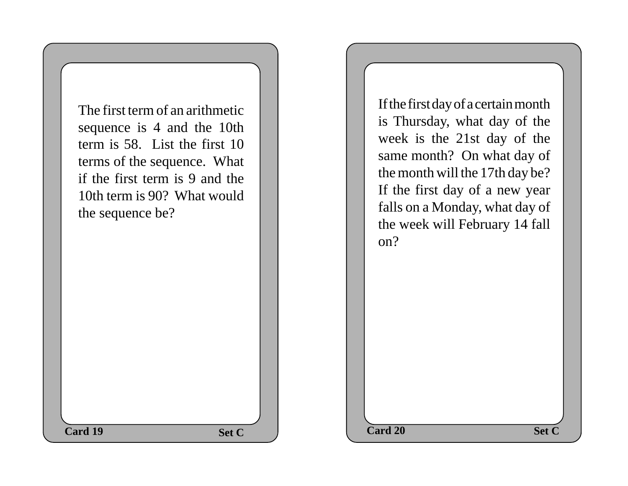**Set C**  $\qquad$  **C**  $\qquad$  **Card 20 Set C** The first term of an arithmetic sequence is 4 and the 10th term is 58. List the first 10 terms of the sequence. What if the first term is 9 and the 10th term is 90? What would the sequence be? **Card 19 Card 20 Card 20** 

If the first day of a certain month is Thursday, what day of the week is the 21st day of the same month? On what day of the month will the 17th day be? If the first day of a new year falls on a Monday, what day of the week will February 14 fall on?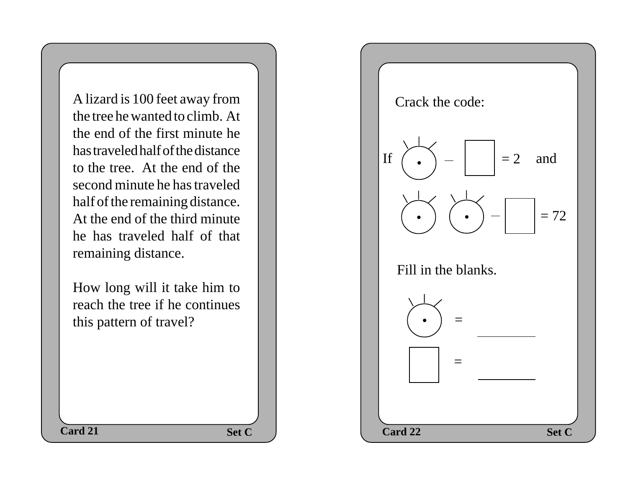A lizard is 100 feet away from the tree he wanted to climb. At the end of the first minute he has traveled half of the distance to the tree. At the end of the second minute he has traveled half of the remaining distance. At the end of the third minute he has traveled half of that remaining distance.

How long will it take him to reach the tree if he continues this pattern of travel?

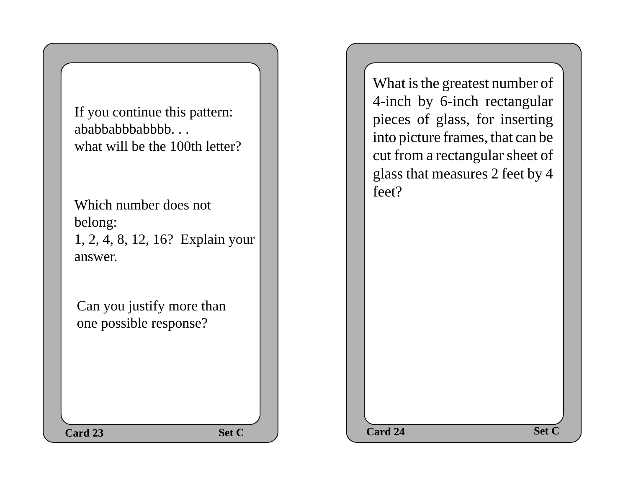If you continue this pattern: ababbabbabbbb. . . what will be the 100th letter?

Which number does not belong: 1, 2, 4, 8, 12, 16? Explain your answer.

Can you justify more than one possible response?

What is the greatest number of 4-inch by 6-inch rectangular pieces of glass, for inserting into picture frames, that can be cut from a rectangular sheet of glass that measures 2 feet by 4 feet?

**Set C**  $\qquad$  **Card 24 Set C Card 23 Card 24 Card 24**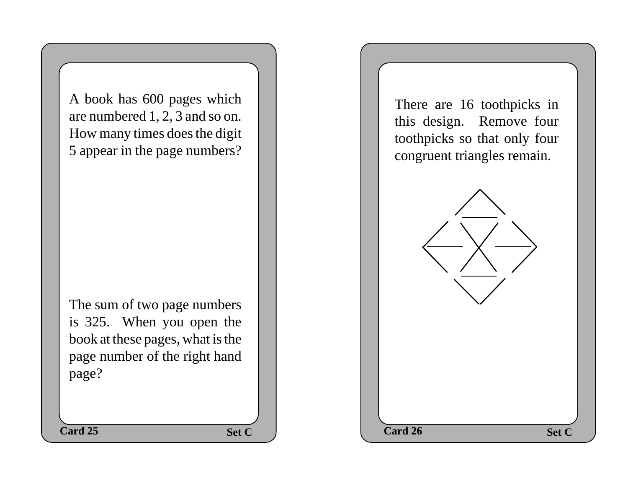A book has 600 pages which are numbered 1, 2, 3 and so on. How many times does the digit 5 appear in the page numbers?

The sum of two page numbers is 325. When you open the book at these pages, what is the page number of the right hand page?

There are 16 toothpicks in this design. Remove four toothpicks so that only four congruent triangles remain.

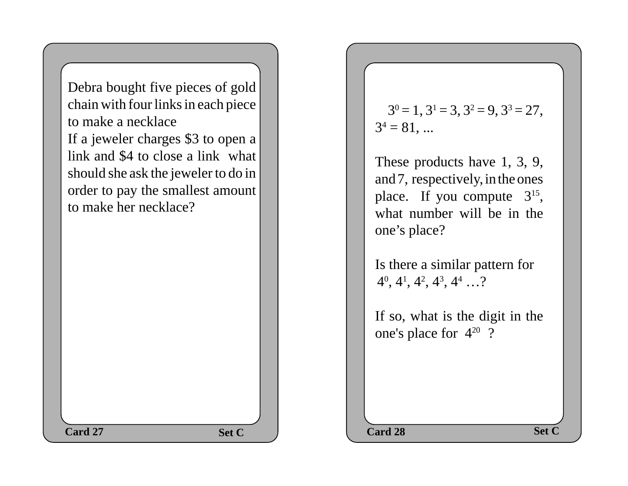Debra bought five pieces of gold chain with four links in each piece to make a necklace If a jeweler charges \$3 to open a link and \$4 to close a link what should she ask the jeweler to do in order to pay the smallest amount to make her necklace?

## $3^0 = 1$ ,  $3^1 = 3$ ,  $3^2 = 9$ ,  $3^3 = 27$ ,  $3^4 = 81, ...$

These products have 1, 3, 9, and 7, respectively, in the ones place. If you compute  $3^{15}$ , what number will be in the one's place?

Is there a similar pattern for  $4^0$ ,  $4^1$ ,  $4^2$ ,  $4^3$ ,  $4^4$  ...?

If so, what is the digit in the one's place for 420 ?

**Card 27 Set C Card 28 Set C**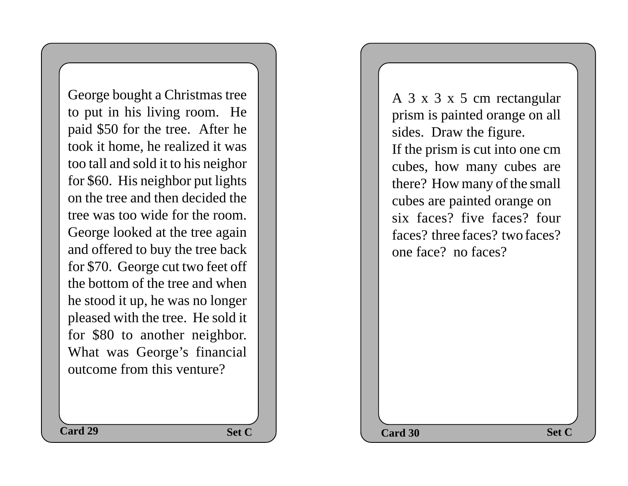George bought a Christmas tree to put in his living room. He paid \$50 for the tree. After he took it home, he realized it was too tall and sold it to his neighor for \$60. His neighbor put lights on the tree and then decided the tree was too wide for the room. George looked at the tree again and offered to buy the tree back for \$70. George cut two feet off the bottom of the tree and when he stood it up, he was no longer pleased with the tree. He sold it for \$80 to another neighbor. What was George's financial outcome from this venture?

A 3 x 3 x 5 cm rectangular prism is painted orange on all sides. Draw the figure. If the prism is cut into one cm cubes, how many cubes are there? How many of the small cubes are painted orange on six faces? five faces? four faces? three faces? two faces? one face? no faces?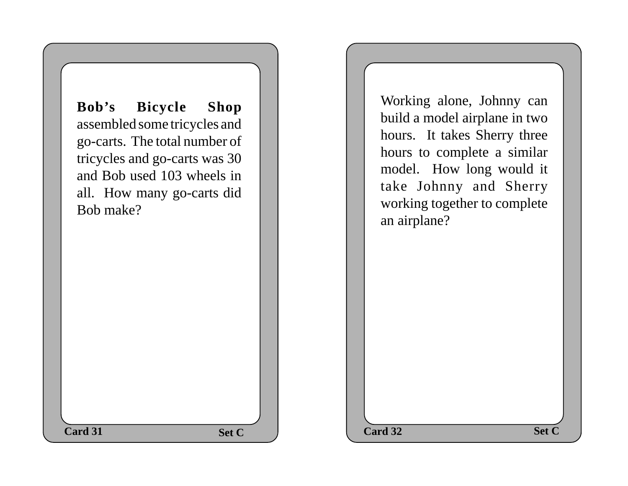**Bob's Bicycle Shop** assembled some tricycles and go-carts. The total number of tricycles and go-carts was 30 and Bob used 103 wheels in all. How many go-carts did Bob make?

Working alone, Johnny can build a model airplane in two hours. It takes Sherry three hours to complete a similar model. How long would it take Johnny and Sherry working together to complete an airplane?

**Set C**  $\qquad$  **Card 32 Set C Card 31 Card 32 Card 32**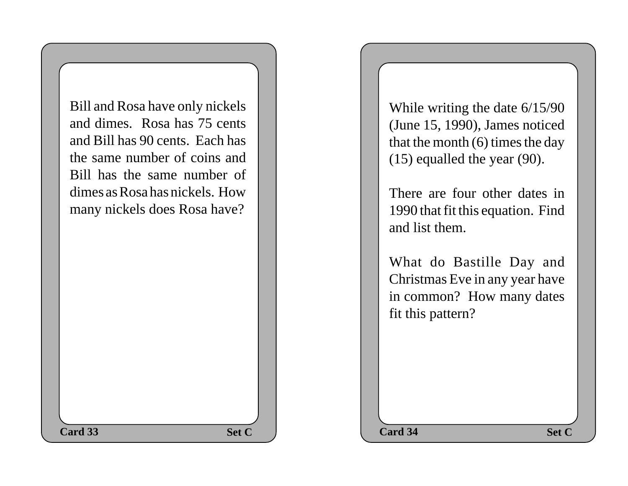Bill and Rosa have only nickels and dimes. Rosa has 75 cents and Bill has 90 cents. Each has the same number of coins and Bill has the same number of dimes as Rosa has nickels. How many nickels does Rosa have?

While writing the date 6/15/90 (June 15, 1990), James noticed that the month (6) times the day (15) equalled the year (90).

There are four other dates in 1990 that fit this equation. Find and list them.

What do Bastille Day and Christmas Eve in any year have in common? How many dates fit this pattern?

**Set C**  $\qquad$  **Card 34 Set C Card 33 Card 34 Card 34**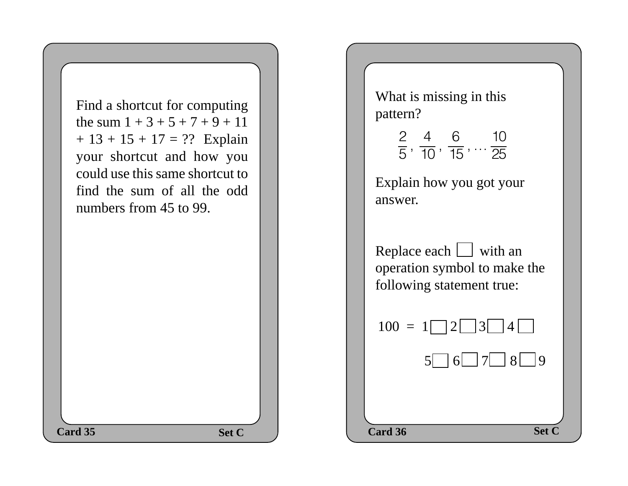

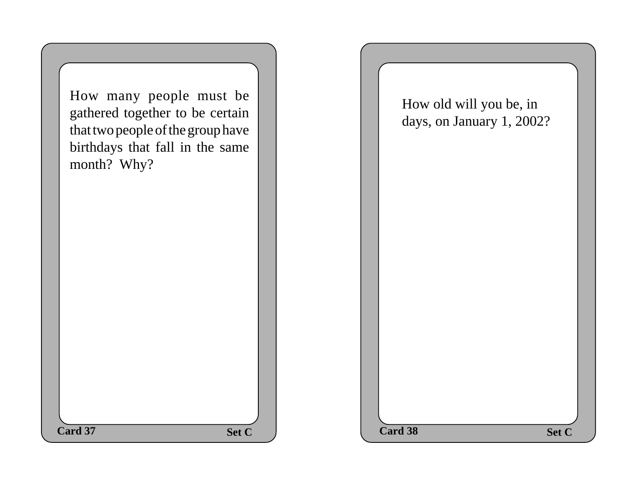How many people must be gathered together to be certain that two people of the group have birthdays that fall in the same month? Why?

How old will you be, in days, on January 1, 2002?

**Set C**  $\qquad$  **Card 38 Set C**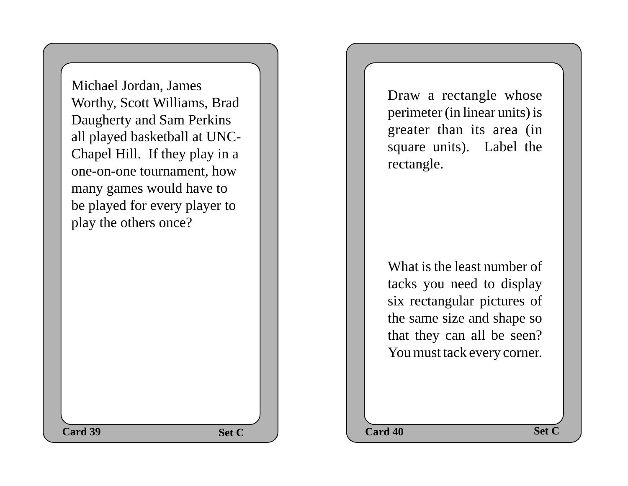Michael Jordan, James Worthy, Scott Williams, Brad Daugherty and Sam Perkins all played basketball at UNC-Chapel Hill. If they play in a one-on-one tournament, how many games would have to be played for every player to play the others once?

Draw a rectangle whose perimeter (in linear units) is greater than its area (in square units). Label the rectangle.

What is the least number of tacks you need to display six rectangular pictures of the same size and shape so that they can all be seen? You must tack every corner.

**Set C**  $\qquad$  **Card 40 Set C Card 39** Set C  $\qquad$  Card 40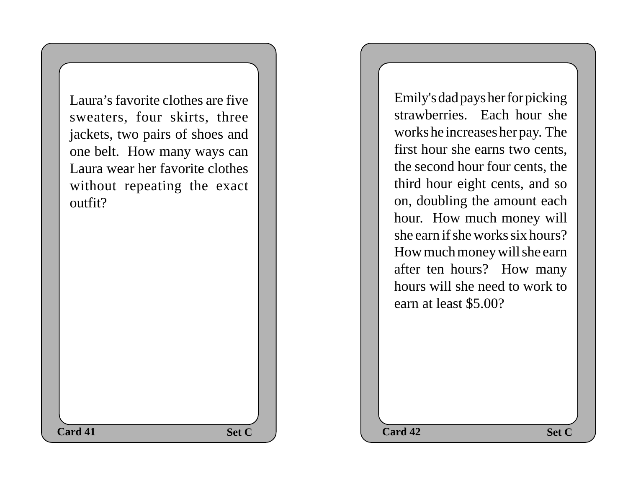Laura's favorite clothes are five sweaters, four skirts, three jackets, two pairs of shoes and one belt. How many ways can Laura wear her favorite clothes without repeating the exact outfit?

Emily's dad pays her for picking strawberries. Each hour she works he increases her pay. The first hour she earns two cents, the second hour four cents, the third hour eight cents, and so on, doubling the amount each hour. How much money will she earn if she works six hours? How much money will she earn after ten hours? How many hours will she need to work to earn at least \$5.00?

**Set C**  $\qquad$  **Card 42 Set C Card 41 Card 42 Card 42**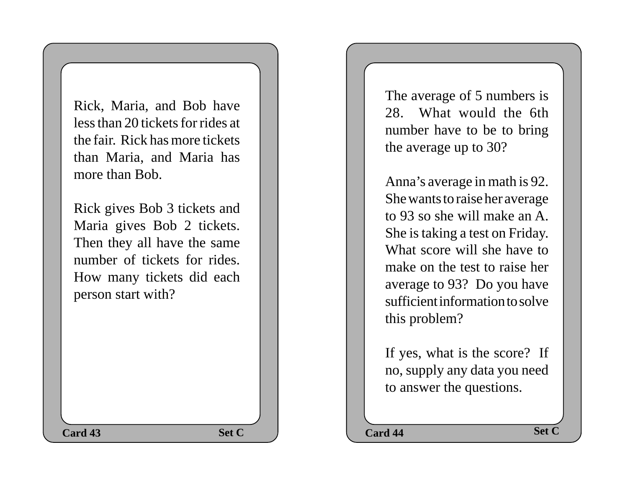Rick, Maria, and Bob have less than 20 tickets for rides at the fair. Rick has more tickets than Maria, and Maria has more than Bob.

Rick gives Bob 3 tickets and Maria gives Bob 2 tickets. Then they all have the same number of tickets for rides. How many tickets did each person start with?

The average of 5 numbers is 28. What would the 6th number have to be to bring the average up to 30?

Anna's average in math is 92. She wants to raise her average to 93 so she will make an A. She is taking a test on Friday. What score will she have to make on the test to raise her average to 93? Do you have sufficient information to solve this problem?

If yes, what is the score? If no, supply any data you need to answer the questions.

**Set C**  $\qquad$  **Card 44 Set C Card 43** Set C  $\qquad$  Card 44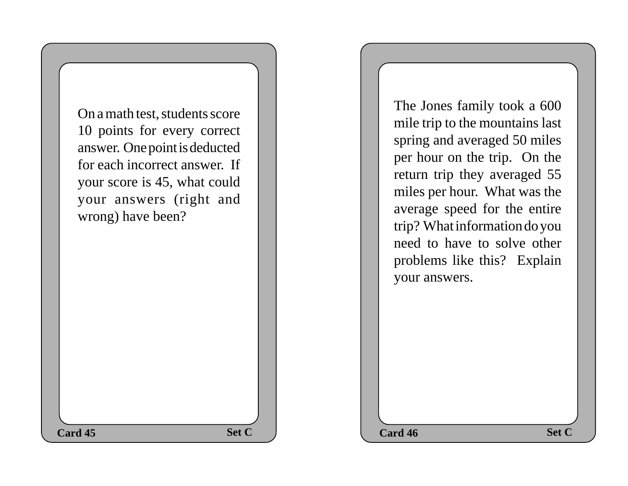On a math test, students score 10 points for every correct answer. One point is deducted for each incorrect answer. If your score is 45, what could your answers (right and wrong) have been?

The Jones family took a 600 mile trip to the mountains last spring and averaged 50 miles per hour on the trip. On the return trip they averaged 55 miles per hour. What was the average speed for the entire trip? What information do you need to have to solve other problems like this? Explain your answers.

**Card 45 Card 46 Card 46 Card 46 Card 46 Card 46**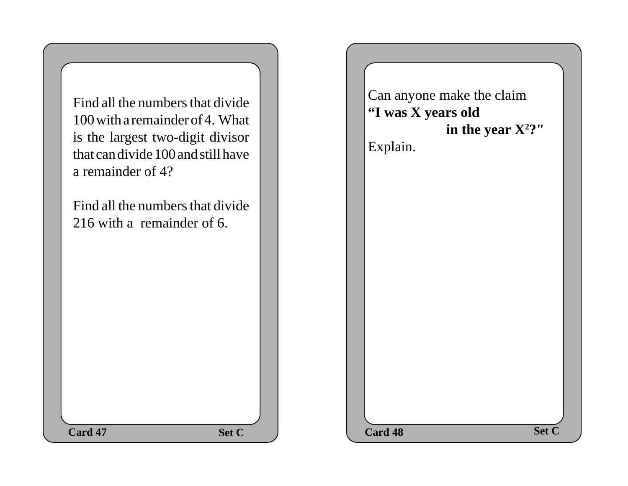

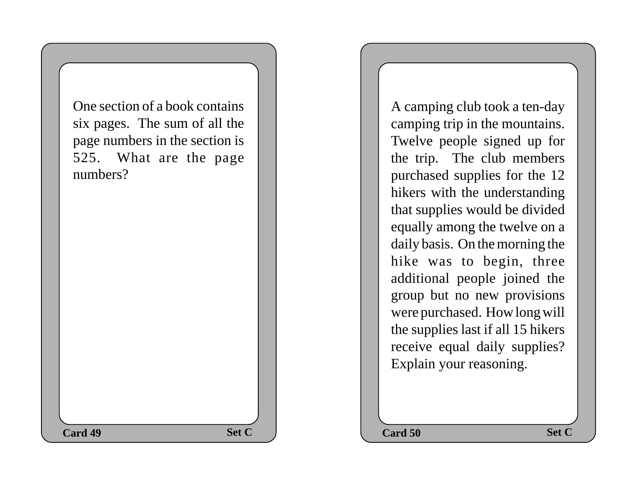**Set C**  $\qquad$  **Card 50 Set C** One section of a book contains six pages. The sum of all the page numbers in the section is 525. What are the page numbers? **Card 49 Card 50 Card 50** 

A camping club took a ten-day camping trip in the mountains. Twelve people signed up for the trip. The club members purchased supplies for the 12 hikers with the understanding that supplies would be divided equally among the twelve on a daily basis. On the morning the hike was to begin, three additional people joined the group but no new provisions were purchased. How long will the supplies last if all 15 hikers receive equal daily supplies? Explain your reasoning.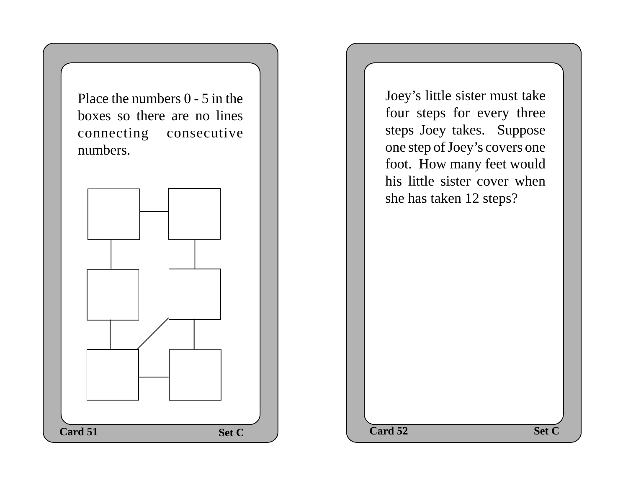Place the numbers 0 - 5 in the boxes so there are no lines connecting consecutive numbers.



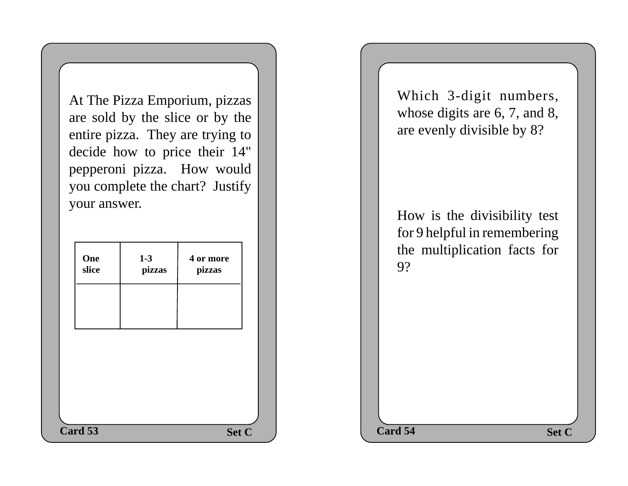At The Pizza Emporium, pizzas are sold by the slice or by the entire pizza. They are trying to decide how to price their 14" pepperoni pizza. How would you complete the chart? Justify your answer.

| One<br>slice | $1 - 3$<br>pizzas | 4 or more<br>pizzas |  | the multiplication facts for<br>9? | ັ     |
|--------------|-------------------|---------------------|--|------------------------------------|-------|
|              |                   |                     |  |                                    |       |
|              |                   |                     |  |                                    |       |
| Card 53      |                   | Set C               |  | Card 54                            | Set C |

Which 3-digit numbers, whose digits are 6, 7, and 8, are evenly divisible by 8?

How is the divisibility test for 9 helpful in remembering the multiplication facts for 9?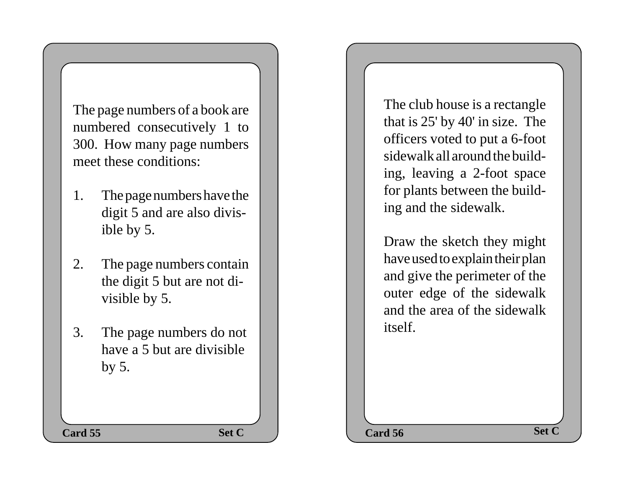The page numbers of a book are numbered consecutively 1 to 300. How many page numbers meet these conditions:

- 1. The page numbers have the digit 5 and are also divisible by 5.
- 2. The page numbers contain the digit 5 but are not divisible by 5.
- 3. The page numbers do not have a 5 but are divisible by 5.

The club house is a rectangle that is 25' by 40' in size. The officers voted to put a 6-foot sidewalk all around the building, leaving a 2-foot space for plants between the building and the sidewalk.

Draw the sketch they might have used to explain their plan and give the perimeter of the outer edge of the sidewalk and the area of the sidewalk itself.

**Set C**  $\qquad$  **Card 56 Set C Card 55** Set C  $\qquad$  Card 56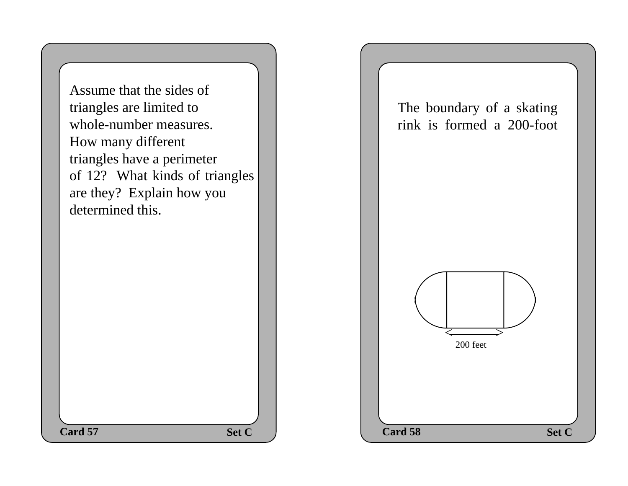Assume that the sides of triangles are limited to whole-number measures. How many different triangles have a perimeter of 12? What kinds of triangles are they? Explain how you determined this.

The boundary of a skating rink is formed a 200-foot

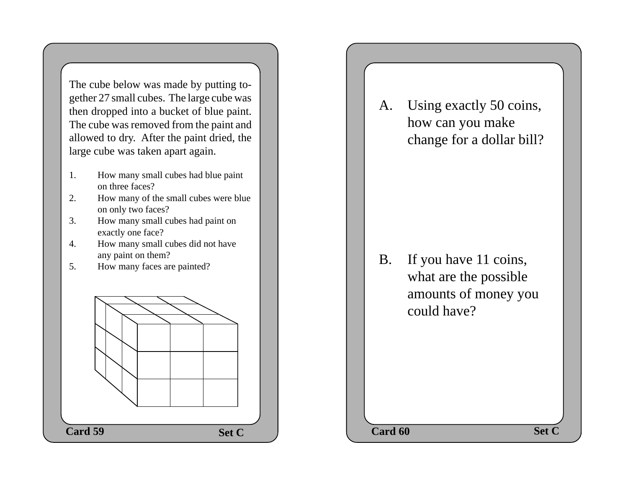The cube below was made by putting together 27 small cubes. The large cube was then dropped into a bucket of blue paint. The cube was removed from the paint and allowed to dry. After the paint dried, the large cube was taken apart again.

- 1. How many small cubes had blue paint on three faces?
- 2. How many of the small cubes were blue on only two faces?
- 3. How many small cubes had paint on exactly one face?
- 4. How many small cubes did not have any paint on them?
- 5. How many faces are painted?



A. Using exactly 50 coins, how can you make change for a dollar bill?

B. If you have 11 coins, what are the possible amounts of money you could have?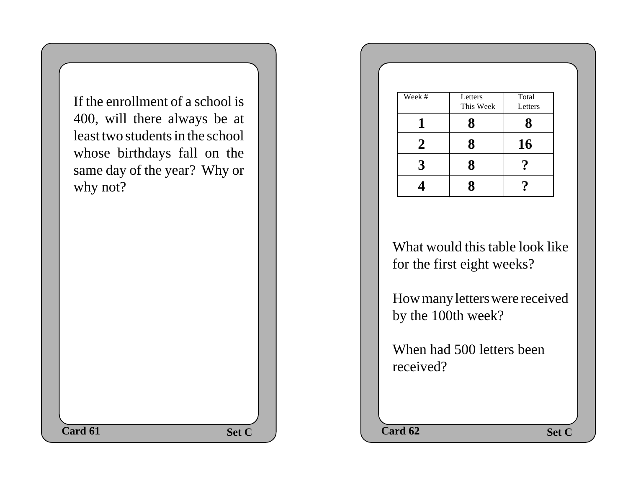If the enrollment of a school is 400, will there always be at least two students in the school whose birthdays fall on the same day of the year? Why or why not?

| Week #         | Letters<br>This Week | Total<br>Letters |
|----------------|----------------------|------------------|
|                | 8                    | 8                |
| $\overline{2}$ | 8                    | 16               |
| 3              | 8                    |                  |
|                | 8                    |                  |

What would this table look like for the first eight weeks?

How many letters were received by the 100th week?

When had 500 letters been received?

**Set C**  $\qquad$  **Card 62 Set C Card 61 Card 62 Card 62 Card 62**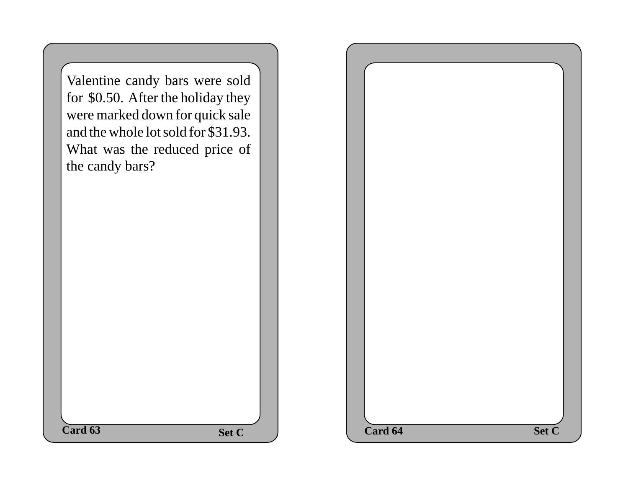| Valentine candy bars were sold      |              |
|-------------------------------------|--------------|
| for \$0.50. After the holiday they  |              |
| were marked down for quick sale     |              |
| and the whole lot sold for \$31.93. |              |
| What was the reduced price of       |              |
| the candy bars?                     |              |
|                                     |              |
|                                     |              |
|                                     |              |
|                                     |              |
|                                     |              |
|                                     |              |
|                                     |              |
|                                     |              |
|                                     |              |
|                                     |              |
|                                     |              |
|                                     |              |
|                                     |              |
| $\overline{\text{Card }63}$         | <b>Set C</b> |
|                                     |              |